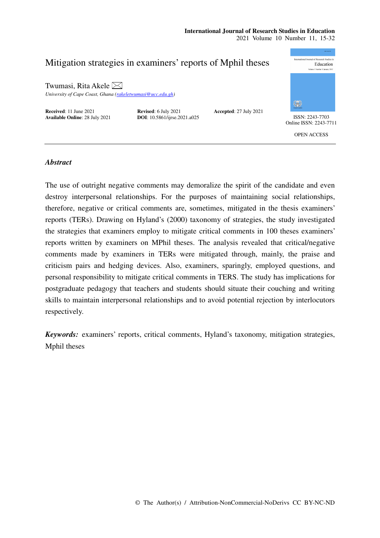### **International Journal of Research Studies in Education**  2021 Volume 10 Number 11, 15-32



# *Abstract*

The use of outright negative comments may demoralize the spirit of the candidate and even destroy interpersonal relationships. For the purposes of maintaining social relationships, therefore, negative or critical comments are, sometimes, mitigated in the thesis examiners' reports (TERs). Drawing on Hyland's (2000) taxonomy of strategies, the study investigated the strategies that examiners employ to mitigate critical comments in 100 theses examiners' reports written by examiners on MPhil theses. The analysis revealed that critical/negative comments made by examiners in TERs were mitigated through, mainly, the praise and criticism pairs and hedging devices. Also, examiners, sparingly, employed questions, and personal responsibility to mitigate critical comments in TERS. The study has implications for postgraduate pedagogy that teachers and students should situate their couching and writing skills to maintain interpersonal relationships and to avoid potential rejection by interlocutors respectively.

*Keywords:* examiners' reports, critical comments, Hyland's taxonomy, mitigation strategies, Mphil theses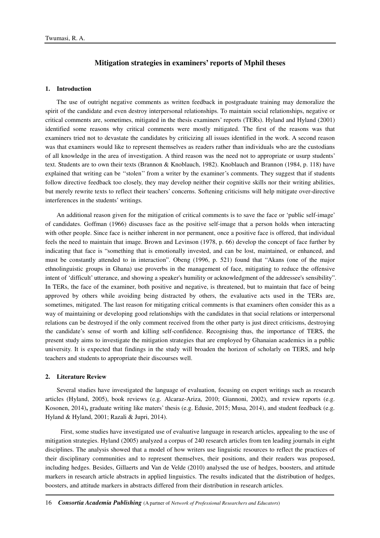# **Mitigation strategies in examiners' reports of Mphil theses**

## **1. Introduction**

The use of outright negative comments as written feedback in postgraduate training may demoralize the spirit of the candidate and even destroy interpersonal relationships. To maintain social relationships, negative or critical comments are, sometimes, mitigated in the thesis examiners' reports (TERs). Hyland and Hyland (2001) identified some reasons why critical comments were mostly mitigated. The first of the reasons was that examiners tried not to devastate the candidates by criticizing all issues identified in the work. A second reason was that examiners would like to represent themselves as readers rather than individuals who are the custodians of all knowledge in the area of investigation. A third reason was the need not to appropriate or usurp students' text. Students are to own their texts (Brannon & Knoblauch, 1982). Knoblauch and Brannon (1984, p. 118) have explained that writing can be ''stolen'' from a writer by the examiner's comments. They suggest that if students follow directive feedback too closely, they may develop neither their cognitive skills nor their writing abilities, but merely rewrite texts to reflect their teachers' concerns. Softening criticisms will help mitigate over-directive interferences in the students' writings.

An additional reason given for the mitigation of critical comments is to save the face or 'public self-image' of candidates. Goffman (1966) discusses face as the positive self-image that a person holds when interacting with other people. Since face is neither inherent in nor permanent, once a positive face is offered, that individual feels the need to maintain that image. Brown and Levinson (1978, p. 66) develop the concept of face further by indicating that face is "something that is emotionally invested, and can be lost, maintained, or enhanced, and must be constantly attended to in interaction". Obeng (1996, p. 521) found that "Akans (one of the major ethnolinguistic groups in Ghana) use proverbs in the management of face, mitigating to reduce the offensive intent of 'difficult' utterance, and showing a speaker's humility or acknowledgment of the addressee's sensibility". In TERs, the face of the examiner, both positive and negative, is threatened, but to maintain that face of being approved by others while avoiding being distracted by others, the evaluative acts used in the TERs are, sometimes, mitigated. The last reason for mitigating critical comments is that examiners often consider this as a way of maintaining or developing good relationships with the candidates in that social relations or interpersonal relations can be destroyed if the only comment received from the other party is just direct criticisms, destroying the candidate's sense of worth and killing self-confidence. Recognising thus, the importance of TERS, the present study aims to investigate the mitigation strategies that are employed by Ghanaian academics in a public university. It is expected that findings in the study will broaden the horizon of scholarly on TERS, and help teachers and students to appropriate their discourses well.

#### **2. Literature Review**

Several studies have investigated the language of evaluation, focusing on expert writings such as research articles (Hyland, 2005), book reviews (e.g. Alcaraz-Ariza, 2010; Giannoni, 2002), and review reports (e.g. Kosonen, 2014)**,** graduate writing like maters' thesis (e.g. Edusie, 2015; Musa, 2014), and student feedback (e.g. Hyland & Hyland, 2001; Razali & Jupri, 2014).

 First, some studies have investigated use of evaluative language in research articles, appealing to the use of mitigation strategies. Hyland (2005) analyzed a corpus of 240 research articles from ten leading journals in eight disciplines. The analysis showed that a model of how writers use linguistic resources to reflect the practices of their disciplinary communities and to represent themselves, their positions, and their readers was proposed, including hedges. Besides, Gillaerts and Van de Velde (2010) analysed the use of hedges, boosters, and attitude markers in research article abstracts in applied linguistics. The results indicated that the distribution of hedges, boosters, and attitude markers in abstracts differed from their distribution in research articles.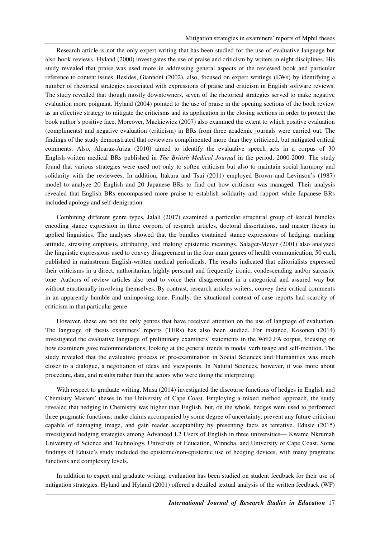Research article is not the only expert writing that has been studied for the use of evaluative language but also book reviews. Hyland (2000) investigates the use of praise and criticism by writers in eight disciplines. His study revealed that praise was used more in addressing general aspects of the reviewed book and particular reference to content issues. Besides, Giannoni (2002), also, focused on expert writings (EWs) by identifying a number of rhetorical strategies associated with expressions of praise and criticism in English software reviews. The study revealed that though mostly downtowners, seven of the rhetorical strategies served to make negative evaluation more poignant. Hyland (2004) pointed to the use of praise in the opening sections of the book review as an effective strategy to mitigate the criticisms and its application in the closing sections in order to protect the book author's positive face. Moreover, Mackiewicz (2007) also examined the extent to which positive evaluation (compliments) and negative evaluation (criticism) in BRs from three academic journals were carried out. The findings of the study demonstrated that reviewers complimented more than they criticized, but mitigated critical comments. Also, Alcaraz-Ariza (2010) aimed to identify the evaluative speech acts in a corpus of 30 English-written medical BRs published in *The British Medical Journal* in the period, 2000-2009. The study found that various strategies were used not only to soften criticism but also to maintain social harmony and solidarity with the reviewees. In addition, Itakura and Tsui (2011) employed Brown and Levinson's (1987) model to analyze 20 English and 20 Japanese BRs to find out how criticism was managed. Their analysis revealed that English BRs encompassed more praise to establish solidarity and rapport while Japanese BRs included apology and self-denigration.

Combining different genre types, Jalali (2017) examined a particular structural group of lexical bundles encoding stance expression in three corpora of research articles, doctoral dissertations, and master theses in applied linguistics. The analyses showed that the bundles contained stance expressions of hedging, marking attitude, stressing emphasis, attributing, and making epistemic meanings. Salager-Meyer (2001) also analyzed the linguistic expressions used to convey disagreement in the four main genres of health communication, 50 each, published in mainstream English-written medical periodicals. The results indicated that editorialists expressed their criticisms in a direct, authoritarian, highly personal and frequently ironic, condescending and/or sarcastic tone. Authors of review articles also tend to voice their disagreement in a categorical and assured way but without emotionally involving themselves. By contrast, research articles writers, convey their critical comments in an apparently humble and unimposing tone. Finally, the situational context of case reports had scarcity of criticism in that particular genre.

However, these are not the only genres that have received attention on the use of language of evaluation. The language of thesis examiners' reports (TERs) has also been studied. For instance, Kosonen (2014) investigated the evaluative language of preliminary examiners' statements in the WrELFA corpus, focusing on how examiners gave recommendations, looking at the general trends in modal verb usage and self-mention. The study revealed that the evaluative process of pre-examination in Social Sciences and Humanities was much closer to a dialogue, a negotiation of ideas and viewpoints. In Natural Sciences, however, it was more about procedure, data, and results rather than the actors who were doing the interpreting.

With respect to graduate writing, Musa (2014) investigated the discourse functions of hedges in English and Chemistry Masters' theses in the University of Cape Coast. Employing a mixed method approach, the study revealed that hedging in Chemistry was higher than English, but, on the whole, hedges were used to performed three pragmatic functions: make claims accompanied by some degree of uncertainty; prevent any future criticism capable of damaging image, and gain reader acceptability by presenting facts as tentative. Edusie (2015) investigated hedging strategies among Advanced L2 Users of English in three universities— Kwame Nkrumah University of Science and Technology, University of Education, Winneba, and University of Cape Coast. Some findings of Edusie's study included the epistemic/non-epistemic use of hedging devices, with many pragmatic functions and complexity levels.

In addition to expert and graduate writing, evaluation has been studied on student feedback for their use of mitigation strategies. Hyland and Hyland (2001) offered a detailed textual analysis of the written feedback (WF)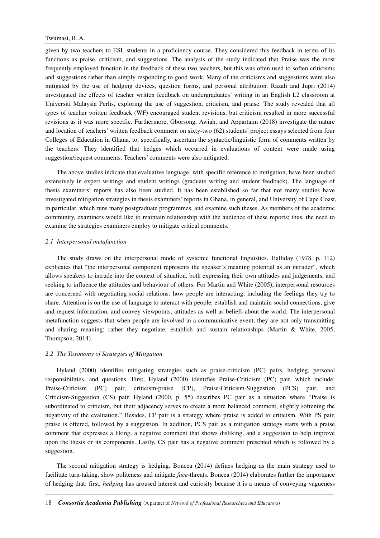given by two teachers to ESL students in a proficiency course. They considered this feedback in terms of its functions as praise, criticism, and suggestions. The analysis of the study indicated that Praise was the most frequently employed function in the feedback of these two teachers, but this was often used to soften criticisms and suggestions rather than simply responding to good work. Many of the criticisms and suggestions were also mitigated by the use of hedging devices, question forms, and personal attribution. Razali and Jupri (2014) investigated the effects of teacher written feedback on undergraduates' writing in an English L2 classroom at Universiti Malaysia Perlis, exploring the use of suggestion, criticism, and praise. The study revealed that all types of teacher written feedback (WF) encouraged student revisions, but criticism resulted in more successful revisions as it was more specific. Furthermore, Gborsong, Awiah, and Appartaim (2018) investigate the nature and location of teachers' written feedback comment on sixty-two (62) students' project essays selected from four Colleges of Education in Ghana, to, specifically, ascertain the syntactic/linguistic form of comments written by the teachers. They identified that hedges which occurred in evaluations of content were made using suggestion/request comments. Teachers' comments were also mitigated.

The above studies indicate that evaluative language, with specific reference to mitigation, have been studied extensively in expert writings and student writings (graduate writing and student feedback). The language of thesis examiners' reports has also been studied. It has been established so far that not many studies have investigated mitigation strategies in thesis examiners' reports in Ghana, in general, and University of Cape Coast, in particular, which runs many postgraduate programmes, and examine such theses. As members of the academic community, examiners would like to maintain relationship with the audience of these reports; thus, the need to examine the strategies examiners employ to mitigate critical comments.

#### *2.1 Interpersonal metafunction*

The study draws on the interpersonal mode of systemic functional linguistics. Halliday (1978, p. 112) explicates that "the interpersonal component represents the speaker's meaning potential as an intruder", which allows speakers to intrude into the context of situation, both expressing their own attitudes and judgements, and seeking to influence the attitudes and behaviour of others. For Martin and White (2005), interpersonal resources are concerned with negotiating social relations: how people are interacting, including the feelings they try to share. Attention is on the use of language to interact with people, establish and maintain social connections, give and request information, and convey viewpoints, attitudes as well as beliefs about the world. The interpersonal metafunction suggests that when people are involved in a communicative event, they are not only transmitting and sharing meaning; rather they negotiate, establish and sustain relationships (Martin & White, 2005; Thompson, 2014).

### *2.2 The Taxonomy of Strategies of Mitigation*

Hyland (2000) identifies mitigating strategies such as praise-criticism (PC) pairs, hedging, personal responsibilities, and questions. First, Hyland (2000) identifies Praise-Criticism (PC) pair, which include: Praise-Criticism (PC) pair, criticism-praise (CP), Praise-Criticism-Suggestion (PCS) pair, and Criticism-Suggestion (CS) pair. Hyland (2000, p. 55) describes PC pair as a situation where "Praise is subordinated to criticism, but their adjacency serves to create a more balanced comment, slightly softening the negativity of the evaluation." Besides, CP pair is a strategy where praise is added to criticism. With PS pair, praise is offered, followed by a suggestion. In addition, PCS pair as a mitigation strategy starts with a praise comment that expresses a liking, a negative comment that shows disliking, and a suggestion to help improve upon the thesis or its components. Lastly, CS pair has a negative comment presented which is followed by a suggestion.

The second mitigation strategy is hedging. Boncea (2014) defines hedging as the main strategy used to facilitate turn-taking, show politeness and mitigate *face*-threats. Boncea (2014) elaborates further the importance of hedging that: first, *hedging* has aroused interest and curiosity because it is a means of conveying vagueness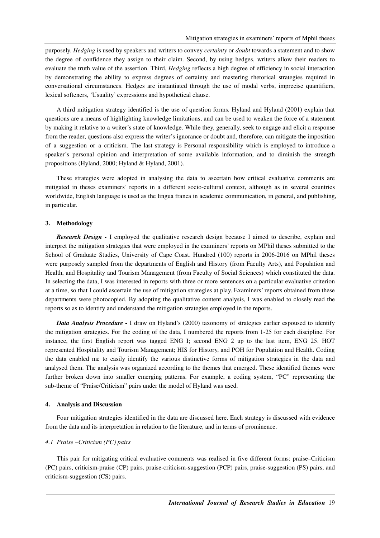purposely. *Hedging* is used by speakers and writers to convey *certainty* or *doubt* towards a statement and to show the degree of confidence they assign to their claim. Second, by using hedges, writers allow their readers to evaluate the truth value of the assertion. Third, *Hedging* reflects a high degree of efficiency in social interaction by demonstrating the ability to express degrees of certainty and mastering rhetorical strategies required in conversational circumstances. Hedges are instantiated through the use of modal verbs, imprecise quantifiers, lexical softeners, 'Usuality' expressions and hypothetical clause.

A third mitigation strategy identified is the use of question forms. Hyland and Hyland (2001) explain that questions are a means of highlighting knowledge limitations, and can be used to weaken the force of a statement by making it relative to a writer's state of knowledge. While they, generally, seek to engage and elicit a response from the reader, questions also express the writer's ignorance or doubt and, therefore, can mitigate the imposition of a suggestion or a criticism. The last strategy is Personal responsibility which is employed to introduce a speaker's personal opinion and interpretation of some available information, and to diminish the strength propositions (Hyland, 2000; Hyland & Hyland, 2001).

These strategies were adopted in analysing the data to ascertain how critical evaluative comments are mitigated in theses examiners' reports in a different socio-cultural context, although as in several countries worldwide, English language is used as the lingua franca in academic communication, in general, and publishing, in particular.

### **3. Methodology**

*Research Design -* I employed the qualitative research design because I aimed to describe, explain and interpret the mitigation strategies that were employed in the examiners' reports on MPhil theses submitted to the School of Graduate Studies, University of Cape Coast. Hundred (100) reports in 2006-2016 on MPhil theses were purposely sampled from the departments of English and History (from Faculty Arts), and Population and Health, and Hospitality and Tourism Management (from Faculty of Social Sciences) which constituted the data. In selecting the data, I was interested in reports with three or more sentences on a particular evaluative criterion at a time, so that I could ascertain the use of mitigation strategies at play. Examiners' reports obtained from these departments were photocopied. By adopting the qualitative content analysis, I was enabled to closely read the reports so as to identify and understand the mitigation strategies employed in the reports.

*Data Analysis Procedure - I draw on Hyland's (2000) taxonomy of strategies earlier espoused to identify* the mitigation strategies. For the coding of the data, I numbered the reports from 1-25 for each discipline. For instance, the first English report was tagged ENG I; second ENG 2 up to the last item, ENG 25. HOT represented Hospitality and Tourism Management; HIS for History, and POH for Population and Health. Coding the data enabled me to easily identify the various distinctive forms of mitigation strategies in the data and analysed them. The analysis was organized according to the themes that emerged. These identified themes were further broken down into smaller emerging patterns. For example, a coding system, "PC" representing the sub-theme of "Praise/Criticism" pairs under the model of Hyland was used.

#### **4. Analysis and Discussion**

Four mitigation strategies identified in the data are discussed here. Each strategy is discussed with evidence from the data and its interpretation in relation to the literature, and in terms of prominence.

#### *4.1 Praise –Criticism (PC) pairs*

This pair for mitigating critical evaluative comments was realised in five different forms: praise–Criticism (PC) pairs, criticism-praise (CP) pairs, praise-criticism-suggestion (PCP) pairs, praise-suggestion (PS) pairs, and criticism-suggestion (CS) pairs.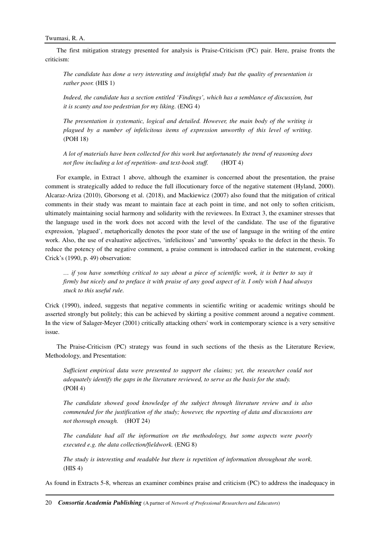The first mitigation strategy presented for analysis is Praise-Criticism (PC) pair. Here, praise fronts the criticism:

*The candidate has done a very interesting and insightful study but the quality of presentation is rather poor.* (HIS 1)

*Indeed, the candidate has a section entitled 'Findings', which has a semblance of discussion, but it is scanty and too pedestrian for my liking.* (ENG 4)

*The presentation is systematic, logical and detailed. However, the main body of the writing is plagued by a number of infelicitous items of expression unworthy of this level of writing.*  (POH 18)

*A lot of materials have been collected for this work but unfortunately the trend of reasoning does not flow including a lot of repetition- and text-book stuff.* (HOT 4)

For example, in Extract 1 above, although the examiner is concerned about the presentation, the praise comment is strategically added to reduce the full illocutionary force of the negative statement (Hyland, 2000). Alcaraz-Ariza (2010), Gborsong et al. (2018), and Mackiewicz (2007) also found that the mitigation of critical comments in their study was meant to maintain face at each point in time, and not only to soften criticism, ultimately maintaining social harmony and solidarity with the reviewees. In Extract 3, the examiner stresses that the language used in the work does not accord with the level of the candidate. The use of the figurative expression, 'plagued', metaphorically denotes the poor state of the use of language in the writing of the entire work. Also, the use of evaluative adjectives, 'infelicitous' and 'unworthy' speaks to the defect in the thesis. To reduce the potency of the negative comment, a praise comment is introduced earlier in the statement, evoking Crick's (1990, p. 49) observation:

*… if you have something critical to say about a piece of scientific work, it is better to say it firmly but nicely and to preface it with praise of any good aspect of it. I only wish I had always stuck to this useful rule.* 

Crick (1990), indeed, suggests that negative comments in scientific writing or academic writings should be asserted strongly but politely; this can be achieved by skirting a positive comment around a negative comment. In the view of Salager-Meyer (2001) critically attacking others' work in contemporary science is a very sensitive issue.

The Praise-Criticism (PC) strategy was found in such sections of the thesis as the Literature Review, Methodology, and Presentation:

*Sufficient empirical data were presented to support the claims; yet, the researcher could not adequately identify the gaps in the literature reviewed, to serve as the basis for the study.*  (POH 4)

*The candidate showed good knowledge of the subject through literature review and is also commended for the justification of the study; however, the reporting of data and discussions are not thorough enough.* (HOT 24)

*The candidate had all the information on the methodology, but some aspects were poorly executed e.g. the data collection/fieldwork.* (ENG 8)

*The study is interesting and readable but there is repetition of information throughout the work.*  (HIS 4)

As found in Extracts 5-8, whereas an examiner combines praise and criticism (PC) to address the inadequacy in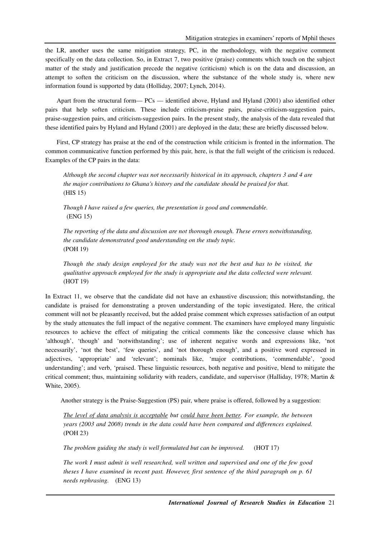the LR, another uses the same mitigation strategy, PC, in the methodology, with the negative comment specifically on the data collection. So, in Extract 7, two positive (praise) comments which touch on the subject matter of the study and justification precede the negative (criticism) which is on the data and discussion, an attempt to soften the criticism on the discussion, where the substance of the whole study is, where new information found is supported by data (Holliday, 2007; Lynch, 2014).

Apart from the structural form— PCs — identified above, Hyland and Hyland (2001) also identified other pairs that help soften criticism. These include criticism-praise pairs, praise-criticism-suggestion pairs, praise-suggestion pairs, and criticism-suggestion pairs. In the present study, the analysis of the data revealed that these identified pairs by Hyland and Hyland (2001) are deployed in the data; these are briefly discussed below.

First, CP strategy has praise at the end of the construction while criticism is fronted in the information. The common communicative function performed by this pair, here, is that the full weight of the criticism is reduced. Examples of the CP pairs in the data:

*Although the second chapter was not necessarily historical in its approach, chapters 3 and 4 are the major contributions to Ghana's history and the candidate should be praised for that.*  (HIS 15)

*Though I have raised a few queries, the presentation is good and commendable.*  (ENG 15)

*The reporting of the data and discussion are not thorough enough. These errors notwithstanding, the candidate demonstrated good understanding on the study topic.*  (POH 19)

*Though the study design employed for the study was not the best and has to be visited, the qualitative approach employed for the study is appropriate and the data collected were relevant.*  (HOT 19)

In Extract 11, we observe that the candidate did not have an exhaustive discussion; this notwithstanding, the candidate is praised for demonstrating a proven understanding of the topic investigated. Here, the critical comment will not be pleasantly received, but the added praise comment which expresses satisfaction of an output by the study attenuates the full impact of the negative comment. The examiners have employed many linguistic resources to achieve the effect of mitigating the critical comments like the concessive clause which has 'although', 'though' and 'notwithstanding'; use of inherent negative words and expressions like, 'not necessarily', 'not the best', 'few queries', and 'not thorough enough', and a positive word expressed in adjectives, 'appropriate' and 'relevant'; nominals like, 'major contributions, 'commendable', 'good understanding'; and verb, 'praised. These linguistic resources, both negative and positive, blend to mitigate the critical comment; thus, maintaining solidarity with readers, candidate, and supervisor (Halliday, 1978; Martin & White, 2005).

Another strategy is the Praise-Suggestion (PS) pair, where praise is offered, followed by a suggestion:

*The level of data analysis is acceptable but could have been better. For example, the between years (2003 and 2008) trends in the data could have been compared and differences explained.*  (POH 23)

*The problem guiding the study is well formulated but can be improved.* (HOT 17)

*The work I must admit is well researched, well written and supervised and one of the few good theses I have examined in recent past. However, first sentence of the third paragraph on p. 61 needs rephrasing.* (ENG 13)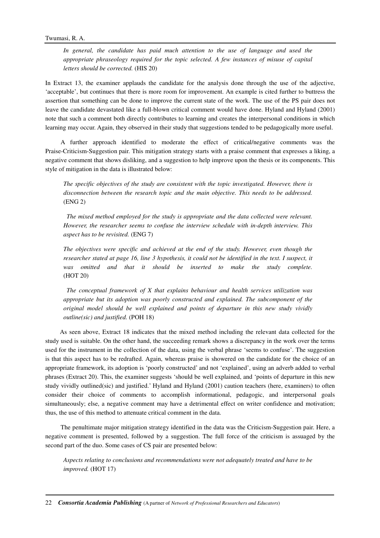In general, the candidate has paid much attention to the use of language and used the *appropriate phraseology required for the topic selected. A few instances of misuse of capital letters should be corrected.* (HIS 20)

In Extract 13, the examiner applauds the candidate for the analysis done through the use of the adjective, 'acceptable', but continues that there is more room for improvement. An example is cited further to buttress the assertion that something can be done to improve the current state of the work. The use of the PS pair does not leave the candidate devastated like a full-blown critical comment would have done. Hyland and Hyland (2001) note that such a comment both directly contributes to learning and creates the interpersonal conditions in which learning may occur. Again, they observed in their study that suggestions tended to be pedagogically more useful.

 A further approach identified to moderate the effect of critical/negative comments was the Praise-Criticism-Suggestion pair. This mitigation strategy starts with a praise comment that expresses a liking, a negative comment that shows disliking, and a suggestion to help improve upon the thesis or its components. This style of mitigation in the data is illustrated below:

*The specific objectives of the study are consistent with the topic investigated. However, there is disconnection between the research topic and the main objective. This needs to be addressed.*  (ENG 2)

 *The mixed method employed for the study is appropriate and the data collected were relevant. However, the researcher seems to confuse the interview schedule with in-depth interview. This aspect has to be revisited.* (ENG 7)

*The objectives were specific and achieved at the end of the study. However, even though the researcher stated at page 16, line 3 hypothesis, it could not be identified in the text. I suspect, it was omitted and that it should be inserted to make the study complete.*  (HOT 20)

 *The conceptual framework of X that explains behaviour and health services utilization was appropriate but its adoption was poorly constructed and explained. The subcomponent of the original model should be well explained and points of departure in this new study vividly outline(sic) and justified.* (POH 18)

 As seen above, Extract 18 indicates that the mixed method including the relevant data collected for the study used is suitable. On the other hand, the succeeding remark shows a discrepancy in the work over the terms used for the instrument in the collection of the data, using the verbal phrase 'seems to confuse'. The suggestion is that this aspect has to be redrafted. Again, whereas praise is showered on the candidate for the choice of an appropriate framework, its adoption is 'poorly constructed' and not 'explained', using an adverb added to verbal phrases (Extract 20). This, the examiner suggests 'should be well explained, and 'points of departure in this new study vividly outlined(sic) and justified.' Hyland and Hyland (2001) caution teachers (here, examiners) to often consider their choice of comments to accomplish informational, pedagogic, and interpersonal goals simultaneously; else, a negative comment may have a detrimental effect on writer confidence and motivation; thus, the use of this method to attenuate critical comment in the data.

 The penultimate major mitigation strategy identified in the data was the Criticism-Suggestion pair. Here, a negative comment is presented, followed by a suggestion. The full force of the criticism is assuaged by the second part of the duo. Some cases of CS pair are presented below:

*Aspects relating to conclusions and recommendations were not adequately treated and have to be improved.* (HOT 17)

22 *Consortia Academia Publishing* (A partner of *Network of Professional Researchers and Educators*)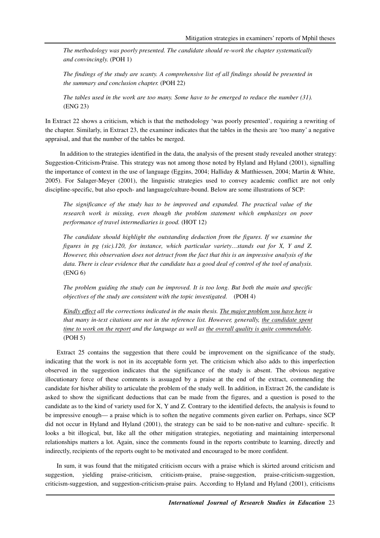*The methodology was poorly presented. The candidate should re-work the chapter systematically and convincingly.* (POH 1)

*The findings of the study are scanty. A comprehensive list of all findings should be presented in the summary and conclusion chapter.* (POH 22)

*The tables used in the work are too many. Some have to be emerged to reduce the number (31).*  (ENG 23)

In Extract 22 shows a criticism, which is that the methodology 'was poorly presented', requiring a rewriting of the chapter. Similarly, in Extract 23, the examiner indicates that the tables in the thesis are 'too many' a negative appraisal, and that the number of the tables be merged.

 In addition to the strategies identified in the data, the analysis of the present study revealed another strategy: Suggestion-Criticism-Praise. This strategy was not among those noted by Hyland and Hyland (2001), signalling the importance of context in the use of language (Eggins, 2004; Halliday & Matthiessen, 2004; Martin & White, 2005). For Salager-Meyer (2001), the linguistic strategies used to convey academic conflict are not only discipline-specific, but also epoch- and language/culture-bound. Below are some illustrations of SCP:

*The significance of the study has to be improved and expanded. The practical value of the research work is missing, even though the problem statement which emphasizes on poor performance of travel intermediaries is good.* (HOT 12)

*The candidate should highlight the outstanding deduction from the figures. If we examine the figures in pg (sic).120, for instance, which particular variety…stands out for X, Y and Z. However, this observation does not detract from the fact that this is an impressive analysis of the data. There is clear evidence that the candidate has a good deal of control of the tool of analysis.*  (ENG 6)

*The problem guiding the study can be improved. It is too long. But both the main and specific objectives of the study are consistent with the topic investigated.* (POH 4)

*Kindly effect all the corrections indicated in the main thesis. The major problem you have here is that many in-text citations are not in the reference list. However, generally, the candidate spent time to work on the report and the language as well as the overall quality is quite commendable.*  (POH 5)

Extract 25 contains the suggestion that there could be improvement on the significance of the study, indicating that the work is not in its acceptable form yet. The criticism which also adds to this imperfection observed in the suggestion indicates that the significance of the study is absent. The obvious negative illocutionary force of these comments is assuaged by a praise at the end of the extract, commending the candidate for his/her ability to articulate the problem of the study well. In addition, in Extract 26, the candidate is asked to show the significant deductions that can be made from the figures, and a question is posed to the candidate as to the kind of variety used for X, Y and Z. Contrary to the identified defects, the analysis is found to be impressive enough— a praise which is to soften the negative comments given earlier on. Perhaps, since SCP did not occur in Hyland and Hyland (2001), the strategy can be said to be non-native and culture- specific. It looks a bit illogical, but, like all the other mitigation strategies, negotiating and maintaining interpersonal relationships matters a lot. Again, since the comments found in the reports contribute to learning, directly and indirectly, recipients of the reports ought to be motivated and encouraged to be more confident.

In sum, it was found that the mitigated criticism occurs with a praise which is skirted around criticism and suggestion, yielding praise-criticism, criticism-praise, praise-suggestion, praise-criticism-suggestion, criticism-suggestion, and suggestion-criticism-praise pairs. According to Hyland and Hyland (2001), criticisms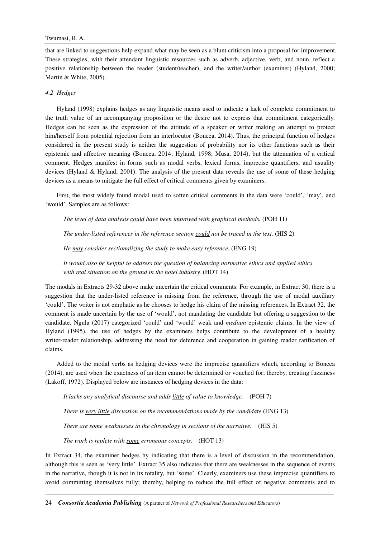## Twumasi, R. A.

that are linked to suggestions help expand what may be seen as a blunt criticism into a proposal for improvement. These strategies, with their attendant linguistic resources such as adverb, adjective, verb, and noun, reflect a positive relationship between the reader (student/teacher), and the writer/author (examiner) (Hyland, 2000; Martin & White, 2005).

## *4.2 Hedges*

Hyland (1998) explains hedges as any linguistic means used to indicate a lack of complete commitment to the truth value of an accompanying proposition or the desire not to express that commitment categorically. Hedges can be seen as the expression of the attitude of a speaker or writer making an attempt to protect him/herself from potential rejection from an interlocutor (Boncea, 2014). Thus, the principal function of hedges considered in the present study is neither the suggestion of probability nor its other functions such as their epistemic and affective meaning (Boncea, 2014; Hyland, 1998; Musa, 2014), but the attenuation of a critical comment. Hedges manifest in forms such as modal verbs, lexical forms, imprecise quantifiers, and usuality devices (Hyland & Hyland, 2001). The analysis of the present data reveals the use of some of these hedging devices as a means to mitigate the full effect of critical comments given by examiners.

First, the most widely found modal used to soften critical comments in the data were 'could', 'may', and 'would'. Samples are as follows:

*The level of data analysis could have been improved with graphical methods.* (POH 11)

*The under-listed references in the reference section could not be traced in the text.* (HIS 2)

*He may consider sectionalizing the study to make easy reference.* (ENG 19)

*It would also be helpful to address the question of balancing normative ethics and applied ethics with real situation on the ground in the hotel industry.* (HOT 14)

The modals in Extracts 29-32 above make uncertain the critical comments. For example, in Extract 30, there is a suggestion that the under-listed reference is missing from the reference, through the use of modal auxiliary 'could'. The writer is not emphatic as he chooses to hedge his claim of the missing references. In Extract 32, the comment is made uncertain by the use of 'would', not mandating the candidate but offering a suggestion to the candidate. Ngula (2017) categorized 'could' and 'would' weak and *medium* epistemic claims. In the view of Hyland (1995), the use of hedges by the examiners helps contribute to the development of a healthy writer-reader relationship, addressing the need for deference and cooperation in gaining reader ratification of claims.

Added to the modal verbs as hedging devices were the imprecise quantifiers which, according to Boncea (2014), are used when the exactness of an item cannot be determined or vouched for; thereby, creating fuzziness (Lakoff, 1972). Displayed below are instances of hedging devices in the data:

*It lacks any analytical discourse and adds little of value to knowledge.* (POH 7)

*There is very little discussion on the recommendations made by the candidate (ENG 13)* 

*There are some weaknesses in the chronology in sections of the narrative.* (HIS 5)

*The work is replete with some erroneous concepts.* (HOT 13)

In Extract 34, the examiner hedges by indicating that there is a level of discussion in the recommendation, although this is seen as 'very little'. Extract 35 also indicates that there are weaknesses in the sequence of events in the narrative, though it is not in its totality, but 'some'. Clearly, examiners use these imprecise quantifiers to avoid committing themselves fully; thereby, helping to reduce the full effect of negative comments and to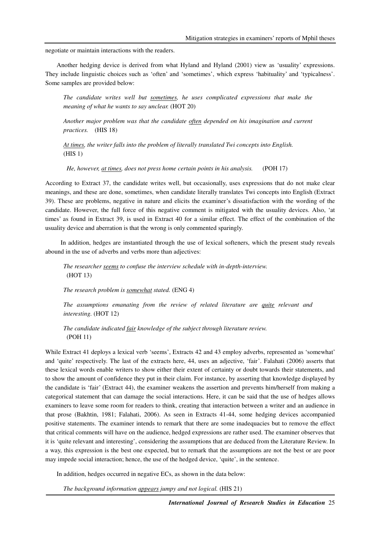negotiate or maintain interactions with the readers.

Another hedging device is derived from what Hyland and Hyland (2001) view as 'usuality' expressions. They include linguistic choices such as 'often' and 'sometimes', which express 'habituality' and 'typicalness'. Some samples are provided below:

*The candidate writes well but sometimes, he uses complicated expressions that make the meaning of what he wants to say unclear.* (HOT 20)

*Another major problem was that the candidate often depended on his imagination and current practices.* (HIS 18)

*At times, the writer falls into the problem of literally translated Twi concepts into English.*  (HIS 1)

 *He, however, at times, does not press home certain points in his analysis.* (POH 17)

According to Extract 37, the candidate writes well, but occasionally, uses expressions that do not make clear meanings, and these are done, sometimes, when candidate literally translates Twi concepts into English (Extract 39). These are problems, negative in nature and elicits the examiner's dissatisfaction with the wording of the candidate. However, the full force of this negative comment is mitigated with the usuality devices. Also, 'at times' as found in Extract 39, is used in Extract 40 for a similar effect. The effect of the combination of the usuality device and aberration is that the wrong is only commented sparingly.

 In addition, hedges are instantiated through the use of lexical softeners, which the present study reveals abound in the use of adverbs and verbs more than adjectives:

*The researcher seems to confuse the interview schedule with in-depth-interview.*  (HOT 13)

*The research problem is somewhat stated.* (ENG 4)

*The assumptions emanating from the review of related literature are quite relevant and interesting.* (HOT 12)

*The candidate indicated fair knowledge of the subject through literature review.*  (POH 11)

While Extract 41 deploys a lexical verb 'seems', Extracts 42 and 43 employ adverbs, represented as 'somewhat' and 'quite' respectively. The last of the extracts here, 44, uses an adjective, 'fair'. Falahati (2006) asserts that these lexical words enable writers to show either their extent of certainty or doubt towards their statements, and to show the amount of confidence they put in their claim. For instance, by asserting that knowledge displayed by the candidate is 'fair' (Extract 44), the examiner weakens the assertion and prevents him/herself from making a categorical statement that can damage the social interactions. Here, it can be said that the use of hedges allows examiners to leave some room for readers to think, creating that interaction between a writer and an audience in that prose (Bakhtin, 1981; Falahati, 2006). As seen in Extracts 41-44, some hedging devices accompanied positive statements. The examiner intends to remark that there are some inadequacies but to remove the effect that critical comments will have on the audience, hedged expressions are rather used. The examiner observes that it is 'quite relevant and interesting', considering the assumptions that are deduced from the Literature Review. In a way, this expression is the best one expected, but to remark that the assumptions are not the best or are poor may impede social interaction; hence, the use of the hedged device, 'quite', in the sentence.

In addition, hedges occurred in negative ECs, as shown in the data below:

*The background information appears jumpy and not logical.* (HIS 21)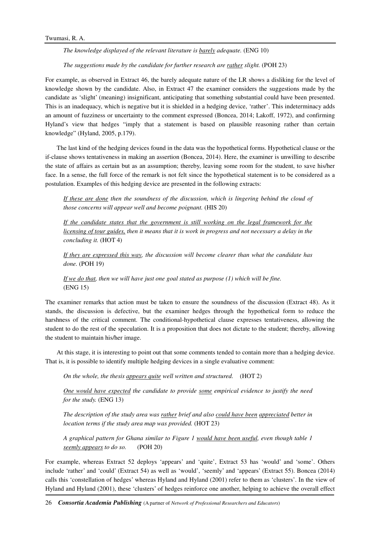*The knowledge displayed of the relevant literature is barely adequate.* (ENG 10)

*The suggestions made by the candidate for further research are rather slight.* (POH 23)

For example, as observed in Extract 46, the barely adequate nature of the LR shows a disliking for the level of knowledge shown by the candidate. Also, in Extract 47 the examiner considers the suggestions made by the candidate as 'slight' (meaning) insignificant, anticipating that something substantial could have been presented. This is an inadequacy, which is negative but it is shielded in a hedging device, 'rather'. This indeterminacy adds an amount of fuzziness or uncertainty to the comment expressed (Boncea, 2014; Lakoff, 1972), and confirming Hyland's view that hedges "imply that a statement is based on plausible reasoning rather than certain knowledge" (Hyland, 2005, p.179).

The last kind of the hedging devices found in the data was the hypothetical forms. Hypothetical clause or the if-clause shows tentativeness in making an assertion (Boncea, 2014). Here, the examiner is unwilling to describe the state of affairs as certain but as an assumption; thereby, leaving some room for the student, to save his/her face. In a sense, the full force of the remark is not felt since the hypothetical statement is to be considered as a postulation. Examples of this hedging device are presented in the following extracts:

*If these are done then the soundness of the discussion, which is lingering behind the cloud of those concerns will appear well and become poignant.* (HIS 20)

*If the candidate states that the government is still working on the legal framework for the licensing of tour guides, then it means that it is work in progress and not necessary a delay in the concluding it.* (HOT 4)

*If they are expressed this way, the discussion will become clearer than what the candidate has done.* (POH 19)

*If we do that, then we will have just one goal stated as purpose (1) which will be fine.*  (ENG 15)

The examiner remarks that action must be taken to ensure the soundness of the discussion (Extract 48). As it stands, the discussion is defective, but the examiner hedges through the hypothetical form to reduce the harshness of the critical comment. The conditional-hypothetical clause expresses tentativeness, allowing the student to do the rest of the speculation. It is a proposition that does not dictate to the student; thereby, allowing the student to maintain his/her image.

At this stage, it is interesting to point out that some comments tended to contain more than a hedging device. That is, it is possible to identify multiple hedging devices in a single evaluative comment:

*On the whole, the thesis appears quite well written and structured.* (HOT 2)

*One would have expected the candidate to provide some empirical evidence to justify the need for the study.* (ENG 13)

*The description of the study area was rather brief and also could have been appreciated better in location terms if the study area map was provided.* (HOT 23)

*A graphical pattern for Ghana similar to Figure 1 would have been useful, even though table 1 seemly appears to do so.* (POH 20)

For example, whereas Extract 52 deploys 'appears' and 'quite', Extract 53 has 'would' and 'some'. Others include 'rather' and 'could' (Extract 54) as well as 'would', 'seemly' and 'appears' (Extract 55). Boncea (2014) calls this 'constellation of hedges' whereas Hyland and Hyland (2001) refer to them as 'clusters'. In the view of Hyland and Hyland (2001), these 'clusters' of hedges reinforce one another, helping to achieve the overall effect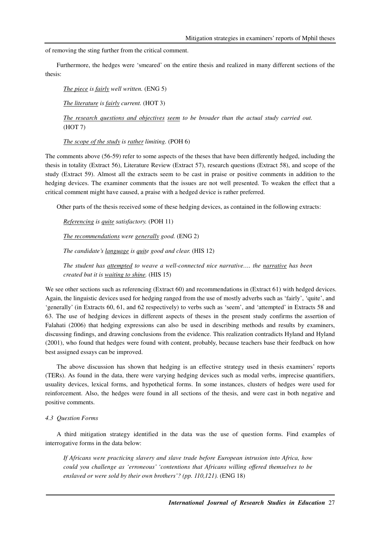of removing the sting further from the critical comment.

Furthermore, the hedges were 'smeared' on the entire thesis and realized in many different sections of the thesis:

*The piece is fairly well written.* (ENG 5) *The literature is fairly current.* (HOT 3)

*The research questions and objectives seem to be broader than the actual study carried out.*  (HOT 7)

*The scope of the study is rather limiting.* (POH 6)

The comments above (56-59) refer to some aspects of the theses that have been differently hedged, including the thesis in totality (Extract 56), Literature Review (Extract 57), research questions (Extract 58), and scope of the study (Extract 59). Almost all the extracts seem to be cast in praise or positive comments in addition to the hedging devices. The examiner comments that the issues are not well presented. To weaken the effect that a critical comment might have caused, a praise with a hedged device is rather preferred.

Other parts of the thesis received some of these hedging devices, as contained in the following extracts:

*Referencing is quite satisfactory.* (POH 11)

*The recommendations were generally good.* (ENG 2)

*The candidate's language is quite good and clear.* (HIS 12)

*The student has attempted to weave a well-connected nice narrative…. the narrative has been created but it is waiting to shine.* (HIS 15)

We see other sections such as referencing (Extract 60) and recommendations in (Extract 61) with hedged devices. Again, the linguistic devices used for hedging ranged from the use of mostly adverbs such as 'fairly', 'quite', and 'generally' (in Extracts 60, 61, and 62 respectively) to verbs such as 'seem', and 'attempted' in Extracts 58 and 63. The use of hedging devices in different aspects of theses in the present study confirms the assertion of Falahati (2006) that hedging expressions can also be used in describing methods and results by examiners, discussing findings, and drawing conclusions from the evidence. This realization contradicts Hyland and Hyland (2001), who found that hedges were found with content, probably, because teachers base their feedback on how best assigned essays can be improved.

The above discussion has shown that hedging is an effective strategy used in thesis examiners' reports (TERs). As found in the data, there were varying hedging devices such as modal verbs, imprecise quantifiers, usuality devices, lexical forms, and hypothetical forms. In some instances, clusters of hedges were used for reinforcement. Also, the hedges were found in all sections of the thesis, and were cast in both negative and positive comments.

### *4.3 Question Forms*

A third mitigation strategy identified in the data was the use of question forms. Find examples of interrogative forms in the data below:

*If Africans were practicing slavery and slave trade before European intrusion into Africa, how could you challenge as 'erroneous' 'contentions that Africans willing offered themselves to be*  enslaved or were sold by their own brothers'? (pp. 110,121). (ENG 18)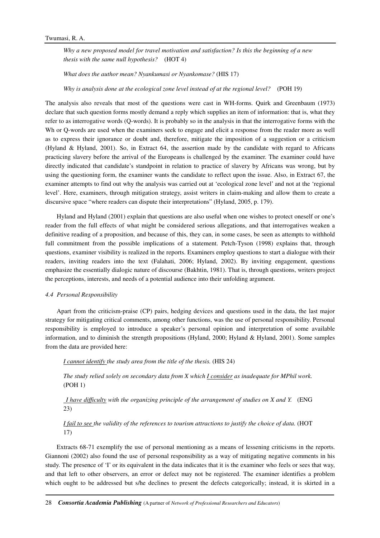*Why a new proposed model for travel motivation and satisfaction? Is this the beginning of a new thesis with the same null hypothesis?* (HOT 4)

*What does the author mean? Nyankumasi or Nyankomase?* (HIS 17)

*Why is analysis done at the ecological zone level instead of at the regional level?* (POH 19)

The analysis also reveals that most of the questions were cast in WH-forms. Quirk and Greenbaum (1973) declare that such question forms mostly demand a reply which supplies an item of information: that is, what they refer to as interrogative words (Q-words). It is probably so in the analysis in that the interrogative forms with the Wh or Q-words are used when the examiners seek to engage and elicit a response from the reader more as well as to express their ignorance or doubt and, therefore, mitigate the imposition of a suggestion or a criticism (Hyland & Hyland, 2001). So, in Extract 64, the assertion made by the candidate with regard to Africans practicing slavery before the arrival of the Europeans is challenged by the examiner. The examiner could have directly indicated that candidate's standpoint in relation to practice of slavery by Africans was wrong, but by using the questioning form, the examiner wants the candidate to reflect upon the issue. Also, in Extract 67, the examiner attempts to find out why the analysis was carried out at 'ecological zone level' and not at the 'regional level'. Here, examiners, through mitigation strategy, assist writers in claim-making and allow them to create a discursive space "where readers can dispute their interpretations" (Hyland, 2005, p. 179).

Hyland and Hyland (2001) explain that questions are also useful when one wishes to protect oneself or one's reader from the full effects of what might be considered serious allegations, and that interrogatives weaken a definitive reading of a proposition, and because of this, they can, in some cases, be seen as attempts to withhold full commitment from the possible implications of a statement. Petch-Tyson (1998) explains that, through questions, examiner visibility is realized in the reports. Examiners employ questions to start a dialogue with their readers, inviting readers into the text (Falahati, 2006; Hyland, 2002). By inviting engagement, questions emphasize the essentially dialogic nature of discourse (Bakhtin, 1981). That is, through questions, writers project the perceptions, interests, and needs of a potential audience into their unfolding argument.

#### *4.4 Personal Responsibility*

Apart from the criticism-praise (CP) pairs, hedging devices and questions used in the data, the last major strategy for mitigating critical comments, among other functions, was the use of personal responsibility. Personal responsibility is employed to introduce a speaker's personal opinion and interpretation of some available information, and to diminish the strength propositions (Hyland, 2000; Hyland & Hyland, 2001). Some samples from the data are provided here:

*I cannot identify the study area from the title of the thesis.* (HIS 24)

*The study relied solely on secondary data from X which I consider as inadequate for MPhil work.*  (POH 1)

*I have difficulty with the organizing principle of the arrangement of studies on X and Y.* (ENG 23)

# *I fail to see the validity of the references to tourism attractions to justify the choice of data.* (HOT 17)

Extracts 68-71 exemplify the use of personal mentioning as a means of lessening criticisms in the reports. Giannoni (2002) also found the use of personal responsibility as a way of mitigating negative comments in his study. The presence of 'I' or its equivalent in the data indicates that it is the examiner who feels or sees that way, and that left to other observers, an error or defect may not be registered. The examiner identifies a problem which ought to be addressed but s/he declines to present the defects categorically; instead, it is skirted in a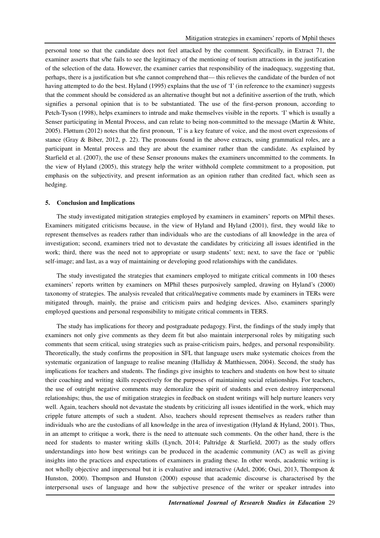personal tone so that the candidate does not feel attacked by the comment. Specifically, in Extract 71, the examiner asserts that s/he fails to see the legitimacy of the mentioning of tourism attractions in the justification of the selection of the data. However, the examiner carries that responsibility of the inadequacy, suggesting that, perhaps, there is a justification but s/he cannot comprehend that— this relieves the candidate of the burden of not having attempted to do the best. Hyland (1995) explains that the use of 'I' (in reference to the examiner) suggests that the comment should be considered as an alternative thought but not a definitive assertion of the truth, which signifies a personal opinion that is to be substantiated. The use of the first-person pronoun, according to Petch-Tyson (1998), helps examiners to intrude and make themselves visible in the reports. 'I' which is usually a Senser participating in Mental Process, and can relate to being non-committed to the message (Martin & White, 2005). Fløttum (2012) notes that the first pronoun, 'I' is a key feature of voice, and the most overt expressions of stance (Gray & Biber, 2012, p. 22). The pronouns found in the above extracts, using grammatical roles, are a participant in Mental process and they are about the examiner rather than the candidate. As explained by Starfield et al. (2007), the use of these Senser pronouns makes the examiners uncommitted to the comments. In the view of Hyland (2005), this strategy help the writer withhold complete commitment to a proposition, put emphasis on the subjectivity, and present information as an opinion rather than credited fact, which seen as hedging.

#### **5. Conclusion and Implications**

The study investigated mitigation strategies employed by examiners in examiners' reports on MPhil theses. Examiners mitigated criticisms because, in the view of Hyland and Hyland (2001), first, they would like to represent themselves as readers rather than individuals who are the custodians of all knowledge in the area of investigation; second, examiners tried not to devastate the candidates by criticizing all issues identified in the work; third, there was the need not to appropriate or usurp students' text; next, to save the face or 'public self-image; and last, as a way of maintaining or developing good relationships with the candidates.

The study investigated the strategies that examiners employed to mitigate critical comments in 100 theses examiners' reports written by examiners on MPhil theses purposively sampled, drawing on Hyland's (2000) taxonomy of strategies. The analysis revealed that critical/negative comments made by examiners in TERs were mitigated through, mainly, the praise and criticism pairs and hedging devices. Also, examiners sparingly employed questions and personal responsibility to mitigate critical comments in TERS.

The study has implications for theory and postgraduate pedagogy. First, the findings of the study imply that examiners not only give comments as they deem fit but also maintain interpersonal roles by mitigating such comments that seem critical, using strategies such as praise-criticism pairs, hedges, and personal responsibility. Theoretically, the study confirms the proposition in SFL that language users make systematic choices from the systematic organization of language to realise meaning (Halliday & Matthiessen, 2004). Second, the study has implications for teachers and students. The findings give insights to teachers and students on how best to situate their coaching and writing skills respectively for the purposes of maintaining social relationships. For teachers, the use of outright negative comments may demoralize the spirit of students and even destroy interpersonal relationships; thus, the use of mitigation strategies in feedback on student writings will help nurture leaners very well. Again, teachers should not devastate the students by criticizing all issues identified in the work, which may cripple future attempts of such a student. Also, teachers should represent themselves as readers rather than individuals who are the custodians of all knowledge in the area of investigation (Hyland & Hyland, 2001). Thus, in an attempt to critique a work, there is the need to attenuate such comments. On the other hand, there is the need for students to master writing skills (Lynch, 2014; Paltridge & Starfield, 2007) as the study offers understandings into how best writings can be produced in the academic community (AC) as well as giving insights into the practices and expectations of examiners in grading these. In other words, academic writing is not wholly objective and impersonal but it is evaluative and interactive (Adel, 2006; Osei, 2013, Thompson & Hunston, 2000). Thompson and Hunston (2000) espouse that academic discourse is characterised by the interpersonal uses of language and how the subjective presence of the writer or speaker intrudes into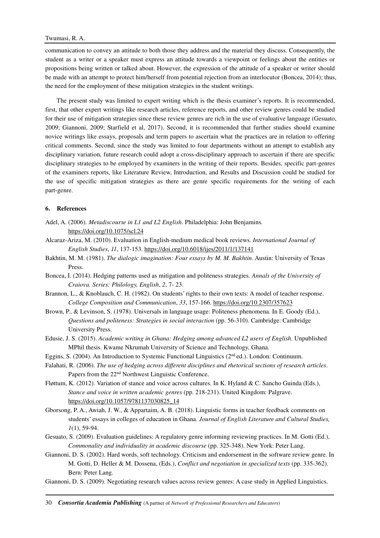## Twumasi, R. A.

communication to convey an attitude to both those they address and the material they discuss. Consequently, the student as a writer or a speaker must express an attitude towards a viewpoint or feelings about the entities or propositions being written or talked about. However, the expression of the attitude of a speaker or writer should be made with an attempt to protect him/herself from potential rejection from an interlocutor (Boncea, 2014); thus, the need for the employment of these mitigation strategies in the student writings.

The present study was limited to expert writing which is the thesis examiner's reports. It is recommended, first, that other expert writings like research articles, reference reports, and other review genres could be studied for their use of mitigation strategies since these review genres are rich in the use of evaluative language (Gesuato, 2009; Giannoni, 2009; Starfield et al, 2017). Second, it is recommended that further studies should examine novice writings like essays, proposals and term papers to ascertain what the practices are in relation to offering critical comments. Second, since the study was limited to four departments without an attempt to establish any disciplinary variation, future research could adopt a cross-disciplinary approach to ascertain if there are specific disciplinary strategies to be employed by examiners in the writing of their reports. Besides, specific part-genres of the examiners reports, like Literature Review, Introduction, and Results and Discussion could be studied for the use of specific mitigation strategies as there are genre specific requirements for the writing of each part-genre.

## **6. References**

- Adel, A. (2006). *Metadiscourse in L1 and L2 English*. Philadelphia: John Benjamins. https://doi.org/10.1075/scl.24
- Alcaraz-Ariza, M. (2010). Evaluation in English-medium medical book reviews. *International Journal of English Studies*, *11*, 137-153. https://doi.org/10.6018/ijes/2011/1/137141
- Bakhtin, M. M. (1981). *The dialogic imagination: Four essays by M. M. Bakhtin*. Austin: University of Texas Press.
- Boncea, I. (2014). Hedging patterns used as mitigation and politeness strategies. *Annals of the University of Craiova. Series: Philology, English*, *2*, 7- 23.
- Brannon, L., & Knoblauch, C. H. (1982). On students' rights to their own texts: A model of teacher response. *College Composition and Communication*, *33*, 157-166. https://doi.org/10.2307/357623
- Brown, P., & Levinson, S. (1978). Universals in language usage: Politeness phenomena. In E. Goody (Ed.), *Questions and politeness: Strategies in social interaction* (pp. 56-310). Cambridge: Cambridge University Press.
- Edusie, J. S. (2015). *Academic writing in Ghana: Hedging among advanced L2 users of English*. Unpublished MPhil thesis. Kwame Nkrumah University of Science and Technology, Ghana.
- Eggins, S. (2004). An Introduction to Systemic Functional Linguistics (2nd ed.). London: Continuum.
- Falahati, R. (2006). *The use of hedging across different disciplines and rhetorical sections of research articles*. Papers from the 22nd Northwest Linguistic Conference.
- Fløttum, K. (2012). Variation of stance and voice across cultures. In K. Hyland & C. Sancho Guinda (Eds.), *Stance and voice in written academic genres* (pp. 218-231). United Kingdom: Palgrave. https://doi.org/10.1057/9781137030825\_14
- Gborsong, P. A., Awiah, J. W., & Appartaim, A. B. (2018). Linguistic forms in teacher feedback comments on students' essays in colleges of education in Ghana. *Journal of English Literature and Cultural Studies, 1*(1), 59-94.
- Gesuato, S. (2009). Evaluation guidelines: A regulatory genre informing reviewing practices. In M. Gotti (Ed.), *Commonality and individuality in academic discourse* (pp. 325-348). New York: Peter Lang.
- Giannoni, D. S. (2002). Hard words, soft technology. Criticism and endorsement in the software review genre. In M. Gotti, D. Heller & M. Dossena, (Eds.), *Conflict and negotiation in specialized texts* (pp. 335-362). Bern: Peter Lang.
- Giannoni, D. S. (2009)*.* Negotiating research values across review genres: A case study in Applied Linguistics.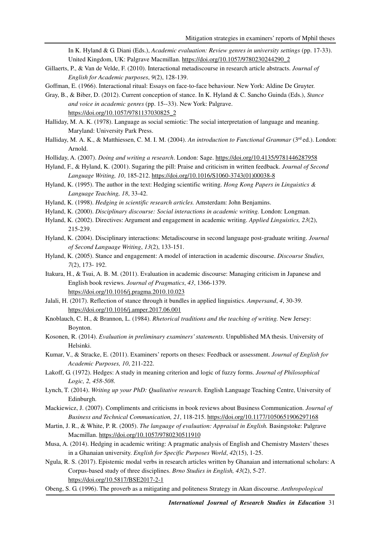In K. Hyland & G. Diani (Eds.), *Academic evaluation: Review genres in university settings* (pp. 17-33). United Kingdom, UK: Palgrave Macmillan. https://doi.org/10.1057/9780230244290\_2

Gillaerts, P., & Van de Velde, F. (2010). Interactional metadiscourse in research article abstracts. *Journal of English for Academic purposes*, *9*(2), 128-139.

Goffman, E. (1966). Interactional ritual: Essays on face-to-face behaviour. New York: Aldine De Gruyter.

- Gray, B., & Biber, D. (2012). Current conception of stance. In K. Hyland & C. Sancho Guinda (Eds.), *Stance and voice in academic genres* (pp. 15--33). New York: Palgrave. https://doi.org/10.1057/9781137030825\_2
- Halliday, M. A. K. (1978). Language as social semiotic: The social interpretation of language and meaning. Maryland: University Park Press.
- Halliday, M. A. K., & Matthiessen, C. M. I. M. (2004). *An introduction to Functional Grammar* (3rd ed.). London: Arnold.
- Holliday, A. (2007). *Doing and writing a research*. London: Sage. https://doi.org/10.4135/9781446287958
- Hyland, F., & Hyland, K. (2001). Sugaring the pill: Praise and criticism in written feedback. *Journal of Second Language Writing, 10*, 185-212. https://doi.org/10.1016/S1060-3743(01)00038-8
- Hyland, K. (1995). The author in the text: Hedging scientific writing. *Hong Kong Papers in Linguistics & Language Teaching, 18*, 33-42.
- Hyland, K. (1998). *Hedging in scientific research articles.* Amsterdam: John Benjamins.
- Hyland, K. (2000). *Disciplinary discourse: Social interactions in academic writing.* London: Longman.
- Hyland, K. (2002). Directives: Argument and engagement in academic writing. *Applied Linguistics, 23*(2), 215-239.
- Hyland, K. (2004). Disciplinary interactions: Metadiscourse in second language post-graduate writing. *Journal of Second Language Writing*, *13*(2), 133-151.
- Hyland, K. (2005). Stance and engagement: A model of interaction in academic discourse. *Discourse Studies, 7*(2), 173- 192.
- Itakura, H., & Tsui, A. B. M. (2011). Evaluation in academic discourse: Managing criticism in Japanese and English book reviews. *Journal of Pragmatics*, *43*, 1366-1379. https://doi.org/10.1016/j.pragma.2010.10.023
- Jalali, H. (2017). Reflection of stance through it bundles in applied linguistics. *Ampersand*, *4*, 30-39. https://doi.org/10.1016/j.amper.2017.06.001
- Knoblauch, C. H., & Brannon, L. (1984). *Rhetorical traditions and the teaching of writing.* New Jersey: Boynton.
- Kosonen, R. (2014). *Evaluation in preliminary examiners' statements*. Unpublished MA thesis. University of Helsinki.
- Kumar, V., & Stracke, E. (2011). Examiners' reports on theses: Feedback or assessment. *Journal of English for Academic Purposes, 10*, 211-222.
- Lakoff, G. (1972). Hedges: A study in meaning criterion and logic of fuzzy forms. *Journal of Philosophical Logic, 2, 458-508*.
- Lynch, T. (2014). *Writing up your PhD: Qualitative research*. English Language Teaching Centre, University of Edinburgh.
- Mackiewicz, J. (2007). Compliments and criticisms in book reviews about Business Communication. *Journal of Business and Technical Communication, 21*, 118-215. https://doi.org/10.1177/1050651906297168
- Martin, J. R., & White, P. R. (2005). *The language of evaluation: Appraisal in English.* Basingstoke: Palgrave Macmillan. https://doi.org/10.1057/9780230511910
- Musa, A. (2014). Hedging in academic writing: A pragmatic analysis of English and Chemistry Masters' theses in a Ghanaian university. *English for Specific Purposes World*, *42*(15), 1-25.
- Ngula, R. S. (2017). Epistemic modal verbs in research articles written by Ghanaian and international scholars: A Corpus-based study of three disciplines. *Brno Studies in English, 43*(2), 5-27. https://doi.org/10.5817/BSE2017-2-1
- Obeng, S. G. (1996). The proverb as a mitigating and politeness Strategy in Akan discourse. *Anthropological*